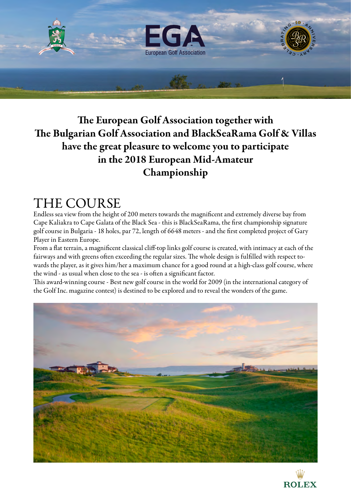

### The European Golf Association together with The Bulgarian Golf Association and BlackSeaRama Golf & Villas have the great pleasure to welcome you to participate in the 2018 European Mid-Amateur Championship

### THE COURSE

Endless sea view from the height of 200 meters towards the magnificent and extremely diverse bay from Cape Kaliakra to Cape Galata of the Black Sea - this is BlackSeaRama, the first championship signature golf course in Bulgaria - 18 holes, par 72, length of 6648 meters - and the first completed project of Gary Player in Eastern Europe.

From a flat terrain, a magnificent classical cliff-top links golf course is created, with intimacy at each of the fairways and with greens often exceeding the regular sizes. The whole design is fulfilled with respect towards the player, as it gives him/her a maximum chance for a good round at a high-class golf course, where the wind - as usual when close to the sea - is often a significant factor.

This award-winning course - Best new golf course in the world for 2009 (in the international category of the Golf Inc. magazine contest) is destined to be explored and to reveal the wonders of the game.



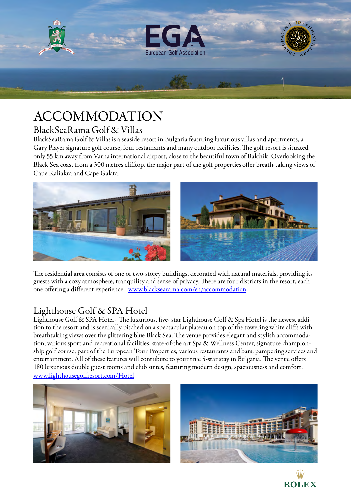

# ACCOMMODATION

#### BlackSeaRama Golf & Villas

BlackSeaRama Golf & Villas is a seaside resort in Bulgaria featuring luxurious villas and apartments, a Gary Player signature golf course, four restaurants and many outdoor facilities. The golf resort is situated only 55 km away from Varna international airport, close to the beautiful town of Balchik. Overlooking the Black Sea coast from a 300 metres clifftop, the major part of the golf properties offer breath-taking views of Cape Kaliakra and Cape Galata.



The residential area consists of one or two-storey buildings, decorated with natural materials, providing its guests with a cozy atmosphere, tranquility and sense of privacy. There are four districts in the resort, each one offering a different experience. [www.blacksearama.com/en/accommodation](http://www.blacksearama.com/en/accommodation)

### Lighthouse Golf & SPA Hotel

Lighthouse Golf & SPA Hotel - The luxurious, five- star Lighthouse Golf & Spa Hotel is the newest addition to the resort and is scenically pitched on a spectacular plateau on top of the towering white cliffs with breathtaking views over the glittering blue Black Sea. The venue provides elegant and stylish accommodation, various sport and recreational facilities, state-of-the art Spa & Wellness Center, signature championship golf course, part of the European Tour Properties, various restaurants and bars, pampering services and entertainment. All of these features will contribute to your true 5-star stay in Bulgaria. The venue offers 180 luxurious double [guest rooms and club suites,](http://www.lighthousegolfresort.com/Hotel/Rooms) featuring modern design, spaciousness and comfort. [www.lighthousegolfresort.com/Hotel](http://www.lighthousegolfresort.com/Hotel)





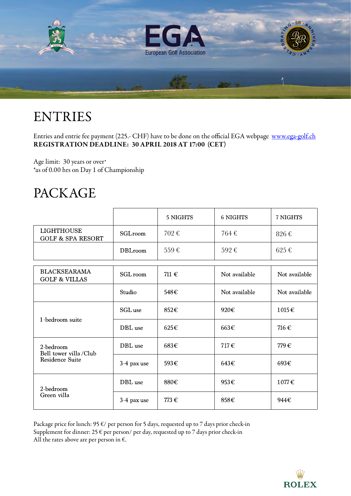

# ENTRIES

Entries and entrie fee payment (225.- CHF) have to be done on the official EGA webpage [www.ega-golf.ch](http://www.ega-golf.ch) REGISTRATION DEADLINE: 30 APRIL 2018 AT 17:00 (CET)

Age limit: 30 years or over\* \*as of 0.00 hrs on Day 1 of Championship

### PACKAGE

|                                                       |                | 5 NIGHTS          | <b>6 NIGHTS</b> | 7 NIGHTS           |
|-------------------------------------------------------|----------------|-------------------|-----------------|--------------------|
| <b>LIGHTHOUSE</b><br><b>GOLF &amp; SPA RESORT</b>     | SGLroom        | 702€              | 764€            | 826€               |
|                                                       | <b>DBLroom</b> | 559€              | 592€            | $625 \text{ } \in$ |
| <b>BLACKSEARAMA</b><br><b>GOLF &amp; VILLAS</b>       | SGL room       | 711 $\varepsilon$ | Not available   | Not available      |
|                                                       | Studio         | 548€              | Not available   | Not available      |
| 1-bedroom suite                                       | SGL use        | 852€              | 920€            | 1015€              |
|                                                       | DBL use        | 625€              | 663€            | 716€               |
| 2-bedroom<br>Bell tower villa/Club<br>Residence Suite | DBL use        | 683€              | 717€            | 779€               |
|                                                       | 3-4 pax use    | 593€              | 643€            | 693€               |
| 2-bedroom<br>Green villa                              | DBL use        | 880€              | 953€            | 1077€              |
|                                                       | 3-4 pax use    | 773€              | 858€            | 944€               |

Package price for lunch: 95  $\varepsilon$ / per person for 5 days, requested up to 7 days prior check-in Supplement for dinner: 25  $\epsilon$  per person/ per day, requested up to 7 days prior check-in All the rates above are per person in  $\epsilon$ .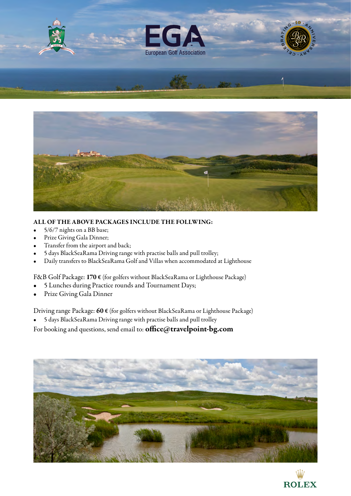



#### ALL OF THE ABOVE PACKAGES INCLUDE THE FOLLWING:

- 5/6/7 nights on a BB base;
- Prize Giving Gala Dinner;
- Transfer from the airport and back;
- 5 days BlackSeaRama Driving range with practise balls and pull trolley;
- Daily transfers to BlackSeaRama Golf and Villas when accommodated at Lighthouse

F&B Golf Package: 170 € (for golfers without BlackSeaRama or Lighthouse Package)

- 5 Lunches during Practice rounds and Tournament Days;
- Prize Giving Gala Dinner

Driving range Package: 60 € (for golfers without BlackSeaRama or Lighthouse Package)

• 5 days BlackSeaRama Driving range with practise balls and pull trolley

For booking and questions, send email to: [office@travelpoint-bg.com](mailto:office@travelpoint-bg.com)



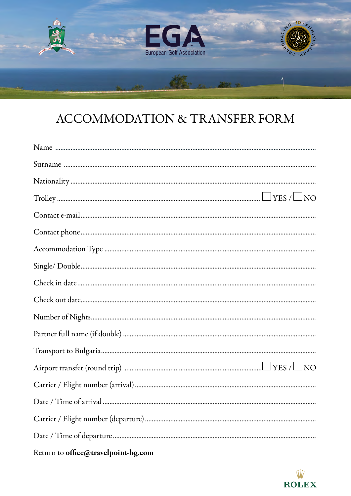

# ACCOMMODATION & TRANSFER FORM



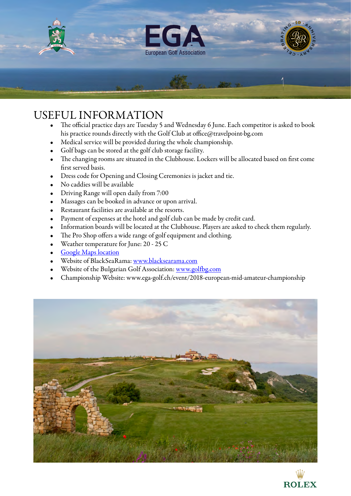

### USEFUL INFORMATION

- The official practice days are Tuesday 5 and Wednesday 6 June. Each competitor is asked to book his practice rounds directly with the Golf Club at [office@travelpoint-bg.com](mailto:office@travelpoint-bg.com)
- Medical service will be provided during the whole championship.
- Golf bags can be stored at the golf club storage facility.
- The changing rooms are situated in the Clubhouse. Lockers will be allocated based on first come first served basis.
- Dress code for Opening and Closing Ceremonies is jacket and tie.
- No caddies will be available
- Driving Range will open daily from 7:00
- Massages can be booked in advance or upon arrival.
- Restaurant facilities are available at the resorts.
- Payment of expenses at the hotel and golf club can be made by credit card.
- Information boards will be located at the Clubhouse. Players are asked to check them regularly.
- The Pro Shop offers a wide range of golf equipment and clothing.
- Weather temperature for June: 20 25 C
- **[Google Maps location](https://www.google.bg/maps/place/43°24)**
- Website of BlackSeaRama: [www.blacksearama.com](http://www.blacksearama.com)
- Website of the Bulgarian Golf Association: [www.golfbg.com](http://www.golfbg.com)
- Championship Website: [www.ega-golf.ch/event/2018-european-mid-amateur-championship](http://www.ega-golf.ch/event/2018-european-mid-amateur-championship)